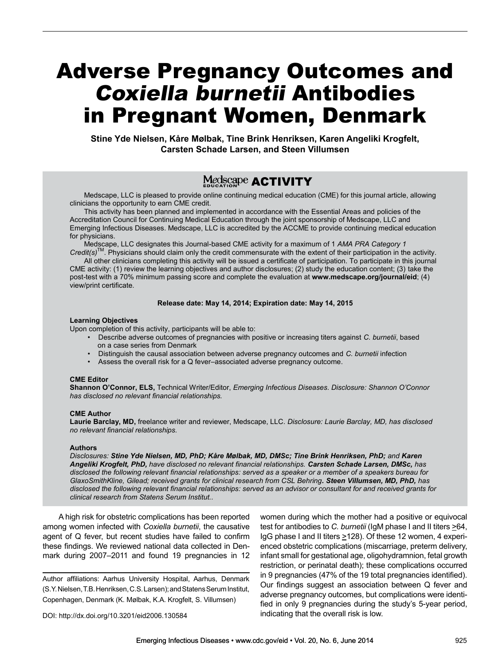# Adverse Pregnancy Outcomes and Coxiella burnetii Antibodies in Pregnant Women, Denmark

**Stine Yde Nielsen, Kåre Mølbak, Tine Brink Henriksen, Karen Angeliki Krogfelt, Carsten Schade Larsen, and Steen Villumsen**

# Medscape **ACTIVITY**

Medscape, LLC is pleased to provide online continuing medical education (CME) for this journal article, allowing clinicians the opportunity to earn CME credit.

This activity has been planned and implemented in accordance with the Essential Areas and policies of the Accreditation Council for Continuing Medical Education through the joint sponsorship of Medscape, LLC and Emerging Infectious Diseases. Medscape, LLC is accredited by the ACCME to provide continuing medical education for physicians.

Medscape, LLC designates this Journal-based CME activity for a maximum of 1 *AMA PRA Category 1 Credit(s)*TM. Physicians should claim only the credit commensurate with the extent of their participation in the activity.

All other clinicians completing this activity will be issued a certificate of participation. To participate in this journal CME activity: (1) review the learning objectives and author disclosures; (2) study the education content; (3) take the post-test with a 70% minimum passing score and complete the evaluation at **www.medscape.org/journal/eid**; (4) view/print certificate.

#### **Release date: May 14, 2014; Expiration date: May 14, 2015**

#### **Learning Objectives**

Upon completion of this activity, participants will be able to:

- Describe adverse outcomes of pregnancies with positive or increasing titers against *C. burnetii*, based on a case series from Denmark
- Distinguish the causal association between adverse pregnancy outcomes and *C. burnetii* infection
- Assess the overall risk for a Q fever–associated adverse pregnancy outcome.

#### **CME Editor**

**Shannon O'Connor, ELS,** Technical Writer/Editor, *Emerging Infectious Diseases. Disclosure: Shannon O'Connor has disclosed no relevant financial relationships.*

### **CME Author**

**Laurie Barclay, MD,** freelance writer and reviewer, Medscape, LLC. *Disclosure: Laurie Barclay, MD, has disclosed no relevant financial relationships.*

#### **Authors**

*Disclosures: Stine Yde Nielsen, MD, PhD; Kåre Mølbak, MD, DMSc; Tine Brink Henriksen, PhD; and Karen Angeliki Krogfelt, PhD, have disclosed no relevant financial relationships. Carsten Schade Larsen, DMSc, has disclosed the following relevant financial relationships: served as a speaker or a member of a speakers bureau for GlaxoSmithKline, Gilead; received grants for clinical research from CSL Behring. Steen Villumsen, MD, PhD, has disclosed the following relevant financial relationships: served as an advisor or consultant for and received grants for clinical research from Statens Serum Institut..*

A high risk for obstetric complications has been reported among women infected with *Coxiella burnetii*, the causative agent of Q fever, but recent studies have failed to confirm these findings. We reviewed national data collected in Denmark during 2007–2011 and found 19 pregnancies in 12

Author affiliations: Aarhus University Hospital, Aarhus, Denmark (S.Y. Nielsen, T.B. Henriksen, C.S. Larsen); and Statens Serum Institut, Copenhagen, Denmark (K. Mølbak, K.A. Krogfelt, S. Villumsen)

women during which the mother had a positive or equivocal test for antibodies to *C. burnetii* (IgM phase I and II titers  $\geq 64$ , IgG phase I and II titers  $\geq$ 128). Of these 12 women, 4 experienced obstetric complications (miscarriage, preterm delivery, infant small for gestational age, oligohydramnion, fetal growth restriction, or perinatal death); these complications occurred in 9 pregnancies (47% of the 19 total pregnancies identified). Our findings suggest an association between Q fever and adverse pregnancy outcomes, but complications were identified in only 9 pregnancies during the study's 5-year period, indicating that the overall risk is low.

DOI: http://dx.doi.org/10.3201/eid2006.130584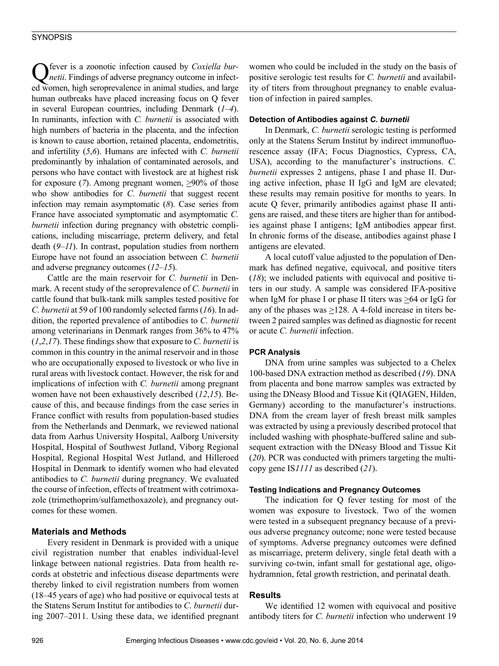Q fever is a zoonotic infection caused by *Coxiella bur-netii*. Findings of adverse pregnancy outcome in infected women, high seroprevalence in animal studies, and large human outbreaks have placed increasing focus on Q fever in several European countries, including Denmark (*1*–*4*). In ruminants, infection with *C. burnetii* is associated with high numbers of bacteria in the placenta, and the infection is known to cause abortion, retained placenta, endometritis, and infertility (*5*,*6*). Humans are infected with *C. burnetii* predominantly by inhalation of contaminated aerosols, and persons who have contact with livestock are at highest risk for exposure (7). Among pregnant women,  $\geq 90\%$  of those who show antibodies for *C. burnetii* that suggest recent infection may remain asymptomatic (*8*). Case series from France have associated symptomatic and asymptomatic *C. burnetii* infection during pregnancy with obstetric complications, including miscarriage, preterm delivery, and fetal death (*9*–*11*). In contrast, population studies from northern Europe have not found an association between *C. burnetii* and adverse pregnancy outcomes (*12*–*15*).

Cattle are the main reservoir for *C. burnetii* in Denmark. A recent study of the seroprevalence of *C. burnetii* in cattle found that bulk-tank milk samples tested positive for *C. burnetii* at 59 of 100 randomly selected farms (*16*). In addition, the reported prevalence of antibodies to *C. burnetii* among veterinarians in Denmark ranges from 36% to 47% (*1*,*2*,*17*). These findings show that exposure to *C. burnetii* is common in this country in the animal reservoir and in those who are occupationally exposed to livestock or who live in rural areas with livestock contact. However, the risk for and implications of infection with *C. burnetii* among pregnant women have not been exhaustively described (*12*,*15*). Because of this, and because findings from the case series in France conflict with results from population-based studies from the Netherlands and Denmark, we reviewed national data from Aarhus University Hospital, Aalborg University Hospital, Hospital of Southwest Jutland, Viborg Regional Hospital, Regional Hospital West Jutland, and Hilleroed Hospital in Denmark to identify women who had elevated antibodies to *C. burnetii* during pregnancy. We evaluated the course of infection, effects of treatment with cotrimoxazole (trimethoprim/sulfamethoxazole), and pregnancy outcomes for these women.

## **Materials and Methods**

Every resident in Denmark is provided with a unique civil registration number that enables individual-level linkage between national registries. Data from health records at obstetric and infectious disease departments were thereby linked to civil registration numbers from women (18–45 years of age) who had positive or equivocal tests at the Statens Serum Institut for antibodies to *C. burnetii* during 2007–2011. Using these data, we identified pregnant

women who could be included in the study on the basis of positive serologic test results for *C. burnetii* and availability of titers from throughout pregnancy to enable evaluation of infection in paired samples.

#### **Detection of Antibodies against** *C. burnetii*

In Denmark, *C. burnetii* serologic testing is performed only at the Statens Serum Institut by indirect immunofluorescence assay (IFA; Focus Diagnostics, Cypress, CA, USA), according to the manufacturer's instructions. *C. burnetii* expresses 2 antigens, phase I and phase II. During active infection, phase II IgG and IgM are elevated; these results may remain positive for months to years. In acute Q fever, primarily antibodies against phase II antigens are raised, and these titers are higher than for antibodies against phase I antigens; IgM antibodies appear first. In chronic forms of the disease, antibodies against phase I antigens are elevated.

A local cutoff value adjusted to the population of Denmark has defined negative, equivocal, and positive titers (*18*); we included patients with equivocal and positive titers in our study. A sample was considered IFA-positive when IgM for phase I or phase II titers was >64 or IgG for any of the phases was >128. A 4-fold increase in titers between 2 paired samples was defined as diagnostic for recent or acute *C. burnetii* infection.

#### **PCR Analysis**

DNA from urine samples was subjected to a Chelex 100-based DNA extraction method as described (*19*). DNA from placenta and bone marrow samples was extracted by using the DNeasy Blood and Tissue Kit (QIAGEN, Hilden, Germany) according to the manufacturer's instructions. DNA from the cream layer of fresh breast milk samples was extracted by using a previously described protocol that included washing with phosphate-buffered saline and subsequent extraction with the DNeasy Blood and Tissue Kit (*20*). PCR was conducted with primers targeting the multicopy gene IS*1111* as described (*21*).

#### **Testing Indications and Pregnancy Outcomes**

The indication for Q fever testing for most of the women was exposure to livestock. Two of the women were tested in a subsequent pregnancy because of a previous adverse pregnancy outcome; none were tested because of symptoms. Adverse pregnancy outcomes were defined as miscarriage, preterm delivery, single fetal death with a surviving co-twin, infant small for gestational age, oligohydramnion, fetal growth restriction, and perinatal death.

#### **Results**

We identified 12 women with equivocal and positive antibody titers for *C. burnetii* infection who underwent 19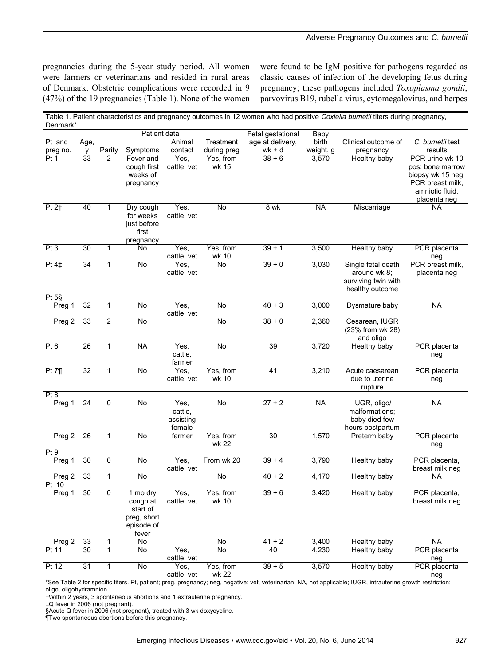pregnancies during the 5-year study period. All women were farmers or veterinarians and resided in rural areas of Denmark. Obstetric complications were recorded in 9 (47%) of the 19 pregnancies (Table 1). None of the women were found to be IgM positive for pathogens regarded as classic causes of infection of the developing fetus during pregnancy; these pathogens included *Toxoplasma gondii*, parvovirus B19, rubella virus, cytomegalovirus, and herpes

| Denmark*                     |                 |                |                                                                        |                                        |                          |                            |                    | Table 1. Patient characteristics and pregnancy outcomes in 12 women who had positive Coxiella burnetii titers during pregnancy, |                                                                                                                 |
|------------------------------|-----------------|----------------|------------------------------------------------------------------------|----------------------------------------|--------------------------|----------------------------|--------------------|---------------------------------------------------------------------------------------------------------------------------------|-----------------------------------------------------------------------------------------------------------------|
|                              |                 |                | Patient data                                                           |                                        |                          | Fetal gestational          | Baby               |                                                                                                                                 |                                                                                                                 |
| Pt and<br>preg no.           | Age,<br>v       | Parity         | Symptoms                                                               | Animal<br>contact                      | Treatment<br>during preg | age at delivery,<br>wk + d | birth<br>weight, g | Clinical outcome of<br>pregnancy                                                                                                | C. burnetii test<br>results                                                                                     |
| Pt <sub>1</sub>              | 33              | $\overline{2}$ | Fever and<br>cough first<br>weeks of<br>pregnancy                      | Yes,<br>cattle, vet                    | Yes, from<br>wk 15       | $38 + 6$                   | 3,570              | Healthy baby                                                                                                                    | PCR urine wk 10<br>pos; bone marrow<br>biopsy wk 15 neg;<br>PCR breast milk,<br>amniotic fluid,<br>placenta neg |
| Pt 2†                        | 40              | $\mathbf{1}$   | Dry cough<br>for weeks<br>just before<br>first<br>pregnancy            | Yes,<br>cattle, vet                    | No                       | 8 wk                       | <b>NA</b>          | Miscarriage                                                                                                                     | NA                                                                                                              |
| Pt3                          | 30              | 1              | No                                                                     | Yes,<br>cattle, vet                    | Yes, from<br>wk 10       | $39 + 1$                   | 3,500              | Healthy baby                                                                                                                    | PCR placenta<br>neg                                                                                             |
| Pt 4‡                        | 34              | 1              | No                                                                     | Yes,<br>cattle, vet                    | No                       | $39 + 0$                   | 3,030              | Single fetal death<br>around wk 8;<br>surviving twin with<br>healthy outcome                                                    | PCR breast milk,<br>placenta neg                                                                                |
| Pt 5§<br>Preg 1              | 32              | 1              | No                                                                     | Yes,<br>cattle, vet                    | No                       | $40 + 3$                   | 3,000              | Dysmature baby                                                                                                                  | <b>NA</b>                                                                                                       |
| Preg 2                       | 33              | 2              | No                                                                     |                                        | No                       | $38 + 0$                   | 2,360              | Cesarean, IUGR<br>(23% from wk 28)<br>and oligo                                                                                 |                                                                                                                 |
| Pt <sub>6</sub>              | 26              | $\mathbf{1}$   | <b>NA</b>                                                              | Yes,<br>cattle,<br>farmer              | No                       | 39                         | 3,720              | Healthy baby                                                                                                                    | PCR placenta<br>neg                                                                                             |
| Pt 7 <sub>1</sub>            | $\overline{32}$ | $\mathbf{1}$   | No                                                                     | Yes,<br>cattle, vet                    | Yes, from<br>wk 10       | 41                         | 3,210              | Acute caesarean<br>due to uterine<br>rupture                                                                                    | PCR placenta<br>neg                                                                                             |
| Pt 8<br>Preg 1               | 24              | 0              | No                                                                     | Yes,<br>cattle,<br>assisting<br>female | No                       | $27 + 2$                   | <b>NA</b>          | IUGR, oligo/<br>malformations;<br>baby died few<br>hours postpartum                                                             | <b>NA</b>                                                                                                       |
| Preg 2                       | 26              | 1              | No                                                                     | farmer                                 | Yes, from<br>wk 22       | 30                         | 1,570              | Preterm baby                                                                                                                    | PCR placenta<br>neg                                                                                             |
| Pt <sub>9</sub><br>Preg 1    | 30              | 0              | No                                                                     | Yes,<br>cattle, vet                    | From wk 20               | $39 + 4$                   | 3,790              | Healthy baby                                                                                                                    | PCR placenta,<br>breast milk neg                                                                                |
| Preg 2                       | 33              | 1              | No                                                                     |                                        | No                       | $40 + 2$                   | 4,170              | Healthy baby                                                                                                                    | NA                                                                                                              |
| $\overline{P}t$ 10<br>Preg 1 | 30              | 0              | 1 mo dry<br>cough at<br>start of<br>preg, short<br>episode of<br>fever | Yes,<br>cattle, vet                    | Yes, from<br>wk 10       | $39 + 6$                   | 3,420              | Healthy baby                                                                                                                    | PCR placenta,<br>breast milk neg                                                                                |
| Preg 2                       | 33              | 1              | No                                                                     |                                        | No                       | $41 + 2$                   | 3,400              | Healthy baby                                                                                                                    | <b>NA</b>                                                                                                       |
| Pt 11                        | 30              | $\mathbf{1}$   | No                                                                     | Yes,<br>cattle, vet                    | No                       | 40                         | 4,230              | Healthy baby                                                                                                                    | PCR placenta<br>neg                                                                                             |
| Pt 12                        | 31              | 1              | No                                                                     | Yes.<br>cattle, vet                    | Yes, from<br>wk 22       | $39 + 5$                   | 3,570              | Healthy baby                                                                                                                    | PCR placenta<br>neg                                                                                             |

\*See Table 2 for specific titers. Pt, patient; preg, pregnancy; neg, negative; vet, veterinarian; NA, not applicable; IUGR, intrauterine growth restriction; oligo, oligohydramnion.

†Within 2 years, 3 spontaneous abortions and 1 extrauterine pregnancy.

§Acute Q fever in 2006 (not pregnant), treated with 3 wk doxycycline.

¶Two spontaneous abortions before this pregnancy.

<sup>‡</sup>Q fever in 2006 (not pregnant).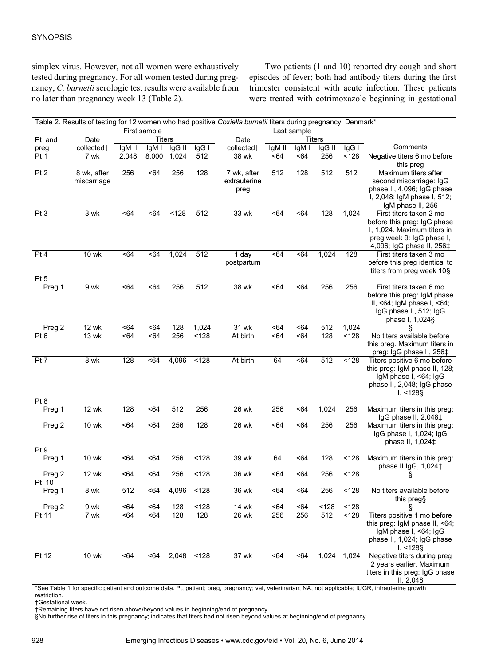# **SYNOPSIS**

simplex virus. However, not all women were exhaustively tested during pregnancy. For all women tested during pregnancy, *C. burnetii* serologic test results were available from no later than pregnancy week 13 (Table 2).

Two patients (1 and 10) reported dry cough and short episodes of fever; both had antibody titers during the first trimester consistent with acute infection. These patients were treated with cotrimoxazole beginning in gestational

| Table 2. Results of testing for 12 women who had positive Coxiella burnetii titers during pregnancy, Denmark* |              |                        |             |            |       |                          |        |       |          |             |                                |
|---------------------------------------------------------------------------------------------------------------|--------------|------------------------|-------------|------------|-------|--------------------------|--------|-------|----------|-------------|--------------------------------|
|                                                                                                               |              |                        | Last sample |            |       |                          |        |       |          |             |                                |
| Pt and<br>Date                                                                                                |              | First sample<br>Titers |             |            |       | Date                     | Titers |       |          |             |                                |
| preg                                                                                                          | collected†   | IgM II                 | IqM I       | IgG II     | $lgG$ | collected†               | IgM II | IgM I | $lgG$ II | $lgG$       | Comments                       |
| Pt 1                                                                                                          | 7 wk         | 2,048                  | 8,000       | 1,024      | 512   | 38 wk                    | < 64   | < 64  | 256      | < 128       | Negative titers 6 mo before    |
|                                                                                                               |              |                        |             |            |       |                          |        |       |          |             | this preg                      |
| Pt <sub>2</sub>                                                                                               | 8 wk, after  | 256                    | < 64        | 256        | 128   | $\overline{7}$ wk, after | 512    | 128   | 512      | 512         | Maximum titers after           |
|                                                                                                               | miscarriage  |                        |             |            |       | extrauterine             |        |       |          |             | second miscarriage: IgG        |
|                                                                                                               |              |                        |             |            |       | preg                     |        |       |          |             | phase II, 4,096; IgG phase     |
|                                                                                                               |              |                        |             |            |       |                          |        |       |          |             | I, 2,048; IgM phase I, 512;    |
|                                                                                                               |              |                        |             |            |       |                          |        |       |          |             | IgM phase II, 256              |
| Pt <sub>3</sub>                                                                                               | 3 wk         | <64                    | <64         | < 128      | 512   | 33 wk                    | < 64   | < 64  | 128      | 1,024       | First titers taken 2 mo        |
|                                                                                                               |              |                        |             |            |       |                          |        |       |          |             | before this preg: IgG phase    |
|                                                                                                               |              |                        |             |            |       |                          |        |       |          |             | I, 1,024. Maximum titers in    |
|                                                                                                               |              |                        |             |            |       |                          |        |       |          |             | preg week 9: IgG phase I,      |
|                                                                                                               |              |                        |             |            |       |                          |        |       |          |             | 4,096; IgG phase II, 256‡      |
| Pt 4                                                                                                          | 10 wk        | < 64                   | <64         | 1,024      | 512   | 1 day                    | <64    | < 64  | 1,024    | 128         | First titers taken 3 mo        |
|                                                                                                               |              |                        |             |            |       | postpartum               |        |       |          |             | before this preg identical to  |
|                                                                                                               |              |                        |             |            |       |                          |        |       |          |             | titers from preg week 10§      |
| Pt <sub>5</sub>                                                                                               |              |                        |             |            |       |                          |        |       |          |             |                                |
| Preg 1                                                                                                        | 9 wk         | <64                    | <64         | 256        | 512   | 38 wk                    | <64    | < 64  | 256      | 256         | First titers taken 6 mo        |
|                                                                                                               |              |                        |             |            |       |                          |        |       |          |             | before this preg: IgM phase    |
|                                                                                                               |              |                        |             |            |       |                          |        |       |          |             | II, <64; IgM phase I, <64;     |
|                                                                                                               |              |                        |             |            |       |                          |        |       |          |             | IgG phase II, 512; IgG         |
|                                                                                                               |              |                        |             |            |       |                          |        |       |          |             | phase I, 1,024§                |
| Preg 2                                                                                                        | 12 wk        | -64                    | -64         | 128        | 1,024 | 31 wk                    | -64    | <64   | 512      | 1,024       | ş                              |
| Pt <sub>6</sub>                                                                                               | 13 wk        | <64                    | <64         | 256        | < 128 | At birth                 | < 64   | < 64  | 128      | < 128       | No titers available before     |
|                                                                                                               |              |                        |             |            |       |                          |        |       |          |             | this preg. Maximum titers in   |
|                                                                                                               |              |                        |             |            |       |                          |        |       |          |             | preg: IgG phase II, 256‡       |
| Pt 7                                                                                                          | 8 wk         | 128                    | <64         | 4,096      | < 128 | At birth                 | 64     | <64   | 512      | < 128       | Titers positive 6 mo before    |
|                                                                                                               |              |                        |             |            |       |                          |        |       |          |             | this preg: IgM phase II, 128;  |
|                                                                                                               |              |                        |             |            |       |                          |        |       |          |             | IgM phase I, <64; IgG          |
|                                                                                                               |              |                        |             |            |       |                          |        |       |          |             | phase II, 2,048; IgG phase     |
|                                                                                                               |              |                        |             |            |       |                          |        |       |          |             | I, 128                         |
| Pt 8                                                                                                          |              |                        |             |            |       |                          |        |       |          |             |                                |
| Preg 1                                                                                                        | 12 wk        | 128                    | -64         | 512        | 256   | 26 wk                    | 256    | -64   | 1,024    | 256         | Maximum titers in this preg:   |
|                                                                                                               |              |                        |             |            |       |                          |        |       |          |             | IgG phase II, 2,048‡           |
| Preg 2                                                                                                        | 10 wk        | <64                    | <64         | 256        | 128   | 26 wk                    | <64    | <64   | 256      | 256         | Maximum titers in this preg:   |
|                                                                                                               |              |                        |             |            |       |                          |        |       |          |             | IgG phase I, 1,024; IgG        |
|                                                                                                               |              |                        |             |            |       |                          |        |       |          |             | phase II, 1,024‡               |
| Pt 9                                                                                                          |              |                        |             |            |       |                          |        |       |          |             |                                |
| Preg 1                                                                                                        | 10 wk        | <64                    | <64         | 256        | < 128 | 39 wk                    | 64     | <64   | 128      | < 128       | Maximum titers in this preg:   |
|                                                                                                               |              |                        |             |            |       |                          |        |       |          |             | phase II IgG, 1,024‡           |
| Preg 2                                                                                                        | 12 wk        | <64                    | -64         | 256        | < 128 | 36 wk                    | <64    | <64   | 256      | < 128       |                                |
| Pt 10                                                                                                         |              |                        |             |            |       |                          |        |       |          |             |                                |
| Preg 1                                                                                                        | 8 wk         | 512                    | <64         | 4,096      | < 128 | 36 wk                    | <64    | < 64  | 256      | < 128       | No titers available before     |
|                                                                                                               |              |                        |             |            |       |                          |        |       |          |             | this preg§                     |
| Preg 2                                                                                                        | 9 wk         | <64                    | < 64        | 128        | < 128 | 14 wk                    | <64    | <64   | <128     | < 128       | ş                              |
| Pt 11                                                                                                         | 7 wk         | <64                    | <64         | 128        | 128   | 26 wk                    | 256    | 256   | 512      | <128        | Titers positive 1 mo before    |
|                                                                                                               |              |                        |             |            |       |                          |        |       |          |             | this preg: IgM phase II, <64;  |
|                                                                                                               |              |                        |             |            |       |                          |        |       |          |             | IgM phase I, <64; IgG          |
|                                                                                                               |              |                        |             |            |       |                          |        |       |          |             | phase II, 1,024; IgG phase     |
|                                                                                                               |              |                        |             |            |       |                          |        |       |          |             | $I, < 128$ §                   |
| Pt 12                                                                                                         | <b>10 wk</b> | < 64                   | <64         | 2,048 <128 |       | 37 wk                    | <64    | <64   |          | 1,024 1,024 | Negative titers during preg    |
|                                                                                                               |              |                        |             |            |       |                          |        |       |          |             | 2 years earlier. Maximum       |
|                                                                                                               |              |                        |             |            |       |                          |        |       |          |             | titers in this preg: IgG phase |
|                                                                                                               |              |                        |             |            |       |                          |        |       |          |             | II, 2,048                      |

\*See Table 1 for specific patient and outcome data. Pt, patient; preg, pregnancy; vet, veterinarian; NA, not applicable; IUGR, intrauterine growth restriction.

†Gestational week.

‡Remaining titers have not risen above/beyond values in beginning/end of pregnancy.

§No further rise of titers in this pregnancy; indicates that titers had not risen beyond values at beginning/end of pregnancy.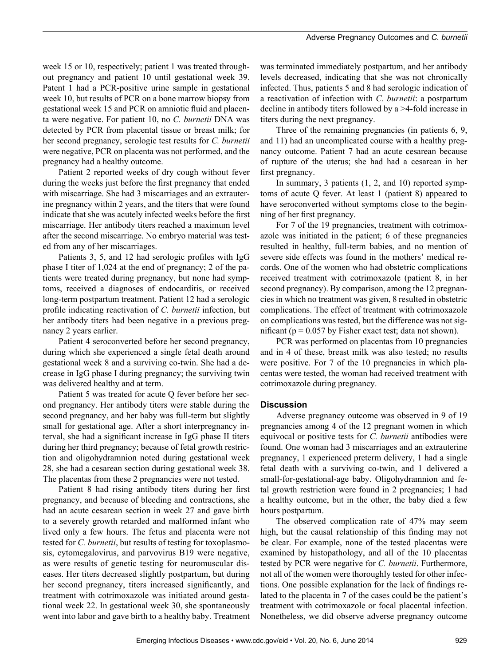week 15 or 10, respectively; patient 1 was treated throughout pregnancy and patient 10 until gestational week 39. Patent 1 had a PCR-positive urine sample in gestational week 10, but results of PCR on a bone marrow biopsy from gestational week 15 and PCR on amniotic fluid and placenta were negative. For patient 10, no *C. burnetii* DNA was detected by PCR from placental tissue or breast milk; for her second pregnancy, serologic test results for *C. burnetii* were negative, PCR on placenta was not performed, and the pregnancy had a healthy outcome.

Patient 2 reported weeks of dry cough without fever during the weeks just before the first pregnancy that ended with miscarriage. She had 3 miscarriages and an extrauterine pregnancy within 2 years, and the titers that were found indicate that she was acutely infected weeks before the first miscarriage. Her antibody titers reached a maximum level after the second miscarriage. No embryo material was tested from any of her miscarriages.

Patients 3, 5, and 12 had serologic profiles with IgG phase I titer of 1,024 at the end of pregnancy; 2 of the patients were treated during pregnancy, but none had symptoms, received a diagnoses of endocarditis, or received long-term postpartum treatment. Patient 12 had a serologic profile indicating reactivation of *C. burnetii* infection, but her antibody titers had been negative in a previous pregnancy 2 years earlier.

Patient 4 seroconverted before her second pregnancy, during which she experienced a single fetal death around gestational week 8 and a surviving co-twin. She had a decrease in IgG phase I during pregnancy; the surviving twin was delivered healthy and at term.

Patient 5 was treated for acute Q fever before her second pregnancy. Her antibody titers were stable during the second pregnancy, and her baby was full-term but slightly small for gestational age. After a short interpregnancy interval, she had a significant increase in IgG phase II titers during her third pregnancy; because of fetal growth restriction and oligohydramnion noted during gestational week 28, she had a cesarean section during gestational week 38. The placentas from these 2 pregnancies were not tested.

Patient 8 had rising antibody titers during her first pregnancy, and because of bleeding and contractions, she had an acute cesarean section in week 27 and gave birth to a severely growth retarded and malformed infant who lived only a few hours. The fetus and placenta were not tested for *C. burnetii*, but results of testing for toxoplasmosis, cytomegalovirus, and parvovirus B19 were negative, as were results of genetic testing for neuromuscular diseases. Her titers decreased slightly postpartum, but during her second pregnancy, titers increased significantly, and treatment with cotrimoxazole was initiated around gestational week 22. In gestational week 30, she spontaneously went into labor and gave birth to a healthy baby. Treatment

was terminated immediately postpartum, and her antibody levels decreased, indicating that she was not chronically infected. Thus, patients 5 and 8 had serologic indication of a reactivation of infection with *C. burnetii*: a postpartum decline in antibody titers followed by a >4-fold increase in titers during the next pregnancy.

Three of the remaining pregnancies (in patients 6, 9, and 11) had an uncomplicated course with a healthy pregnancy outcome. Patient 7 had an acute cesarean because of rupture of the uterus; she had had a cesarean in her first pregnancy.

In summary, 3 patients (1, 2, and 10) reported symptoms of acute Q fever. At least 1 (patient 8) appeared to have seroconverted without symptoms close to the beginning of her first pregnancy.

For 7 of the 19 pregnancies, treatment with cotrimoxazole was initiated in the patient; 6 of these pregnancies resulted in healthy, full-term babies, and no mention of severe side effects was found in the mothers' medical records. One of the women who had obstetric complications received treatment with cotrimoxazole (patient 8, in her second pregnancy). By comparison, among the 12 pregnancies in which no treatment was given, 8 resulted in obstetric complications. The effect of treatment with cotrimoxazole on complications was tested, but the difference was not significant ( $p = 0.057$  by Fisher exact test; data not shown).

PCR was performed on placentas from 10 pregnancies and in 4 of these, breast milk was also tested; no results were positive. For 7 of the 10 pregnancies in which placentas were tested, the woman had received treatment with cotrimoxazole during pregnancy.

# **Discussion**

Adverse pregnancy outcome was observed in 9 of 19 pregnancies among 4 of the 12 pregnant women in which equivocal or positive tests for *C. burnetii* antibodies were found. One woman had 3 miscarriages and an extrauterine pregnancy, 1 experienced preterm delivery, 1 had a single fetal death with a surviving co-twin, and 1 delivered a small-for-gestational-age baby. Oligohydramnion and fetal growth restriction were found in 2 pregnancies; 1 had a healthy outcome, but in the other, the baby died a few hours postpartum.

The observed complication rate of 47% may seem high, but the causal relationship of this finding may not be clear. For example, none of the tested placentas were examined by histopathology, and all of the 10 placentas tested by PCR were negative for *C. burnetii*. Furthermore, not all of the women were thoroughly tested for other infections. One possible explanation for the lack of findings related to the placenta in 7 of the cases could be the patient's treatment with cotrimoxazole or focal placental infection. Nonetheless, we did observe adverse pregnancy outcome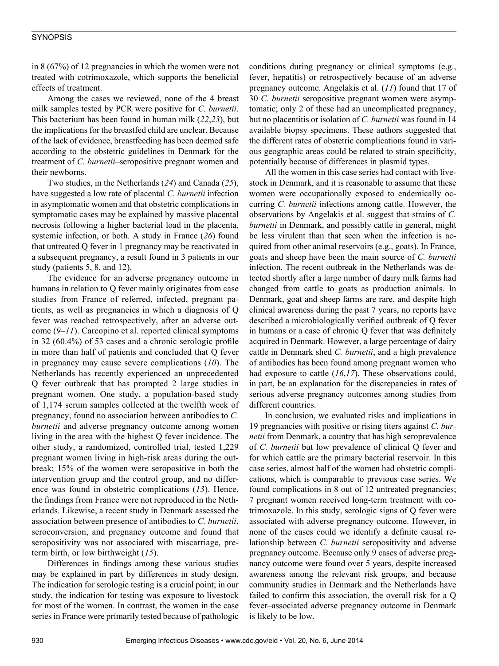# **SYNOPSIS**

in 8 (67%) of 12 pregnancies in which the women were not treated with cotrimoxazole, which supports the beneficial effects of treatment.

Among the cases we reviewed, none of the 4 breast milk samples tested by PCR were positive for *C. burnetii*. This bacterium has been found in human milk (*22*,*23*), but the implications for the breastfed child are unclear. Because of the lack of evidence, breastfeeding has been deemed safe according to the obstetric guidelines in Denmark for the treatment of *C. burnetii*–seropositive pregnant women and their newborns.

Two studies, in the Netherlands (*24*) and Canada (*25*), have suggested a low rate of placental *C. burnetii* infection in asymptomatic women and that obstetric complications in symptomatic cases may be explained by massive placental necrosis following a higher bacterial load in the placenta, systemic infection, or both. A study in France (*26*) found that untreated Q fever in 1 pregnancy may be reactivated in a subsequent pregnancy, a result found in 3 patients in our study (patients 5, 8, and 12).

The evidence for an adverse pregnancy outcome in humans in relation to Q fever mainly originates from case studies from France of referred, infected, pregnant patients, as well as pregnancies in which a diagnosis of Q fever was reached retrospectively, after an adverse outcome (*9*–*11*). Carcopino et al. reported clinical symptoms in 32 (60.4%) of 53 cases and a chronic serologic profile in more than half of patients and concluded that Q fever in pregnancy may cause severe complications (*10*). The Netherlands has recently experienced an unprecedented Q fever outbreak that has prompted 2 large studies in pregnant women. One study, a population-based study of 1,174 serum samples collected at the twelfth week of pregnancy, found no association between antibodies to *C. burnetii* and adverse pregnancy outcome among women living in the area with the highest Q fever incidence. The other study, a randomized, controlled trial, tested 1,229 pregnant women living in high-risk areas during the outbreak; 15% of the women were seropositive in both the intervention group and the control group, and no difference was found in obstetric complications (*13*). Hence, the findings from France were not reproduced in the Netherlands. Likewise, a recent study in Denmark assessed the association between presence of antibodies to *C. burnetii*, seroconversion, and pregnancy outcome and found that seropositivity was not associated with miscarriage, preterm birth, or low birthweight (*15*).

Differences in findings among these various studies may be explained in part by differences in study design. The indication for serologic testing is a crucial point; in our study, the indication for testing was exposure to livestock for most of the women. In contrast, the women in the case series in France were primarily tested because of pathologic conditions during pregnancy or clinical symptoms (e.g., fever, hepatitis) or retrospectively because of an adverse pregnancy outcome. Angelakis et al. (*11*) found that 17 of 30 *C. burnetii* seropositive pregnant women were asymptomatic; only 2 of these had an uncomplicated pregnancy, but no placentitis or isolation of *C. burnetii* was found in 14 available biopsy specimens. These authors suggested that the different rates of obstetric complications found in various geographic areas could be related to strain specificity, potentially because of differences in plasmid types.

All the women in this case series had contact with livestock in Denmark, and it is reasonable to assume that these women were occupationally exposed to endemically occurring *C. burnetii* infections among cattle. However, the observations by Angelakis et al. suggest that strains of *C. burnetti* in Denmark, and possibly cattle in general, might be less virulent than that seen when the infection is acquired from other animal reservoirs (e.g., goats). In France, goats and sheep have been the main source of *C. burnetti* infection. The recent outbreak in the Netherlands was detected shortly after a large number of dairy milk farms had changed from cattle to goats as production animals. In Denmark, goat and sheep farms are rare, and despite high clinical awareness during the past 7 years, no reports have described a microbiologically verified outbreak of Q fever in humans or a case of chronic Q fever that was definitely acquired in Denmark. However, a large percentage of dairy cattle in Denmark shed *C. burnetii*, and a high prevalence of antibodies has been found among pregnant women who had exposure to cattle (*16*,*17*). These observations could, in part, be an explanation for the discrepancies in rates of serious adverse pregnancy outcomes among studies from different countries.

In conclusion, we evaluated risks and implications in 19 pregnancies with positive or rising titers against *C. burnetii* from Denmark, a country that has high seroprevalence of *C. burnetii* but low prevalence of clinical Q fever and for which cattle are the primary bacterial reservoir. In this case series, almost half of the women had obstetric complications, which is comparable to previous case series. We found complications in 8 out of 12 untreated pregnancies; 7 pregnant women received long-term treatment with cotrimoxazole. In this study, serologic signs of Q fever were associated with adverse pregnancy outcome. However, in none of the cases could we identify a definite causal relationship between *C. burnetii* seropositivity and adverse pregnancy outcome. Because only 9 cases of adverse pregnancy outcome were found over 5 years, despite increased awareness among the relevant risk groups, and because community studies in Denmark and the Netherlands have failed to confirm this association, the overall risk for a Q fever–associated adverse pregnancy outcome in Denmark is likely to be low.